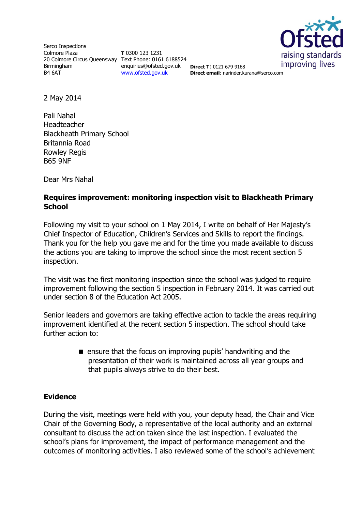

Serco Inspections Colmore Plaza 20 Colmore Circus Queensway Text Phone: 0161 6188524 Birmingham B4 6AT

**T** 0300 123 1231 enquiries@ofsted.gov.uk [www.ofsted.gov.uk](http://www.ofsted.gov.uk/)

**Direct T**: 0121 679 9168 **Direct email**: narinder.kurana@serco.com

2 May 2014

Pali Nahal Headteacher Blackheath Primary School Britannia Road Rowley Regis B65 9NF

Dear Mrs Nahal

## **Requires improvement: monitoring inspection visit to Blackheath Primary School**

Following my visit to your school on 1 May 2014, I write on behalf of Her Majesty's Chief Inspector of Education, Children's Services and Skills to report the findings. Thank you for the help you gave me and for the time you made available to discuss the actions you are taking to improve the school since the most recent section 5 inspection.

The visit was the first monitoring inspection since the school was judged to require improvement following the section 5 inspection in February 2014. It was carried out under section 8 of the Education Act 2005.

Senior leaders and governors are taking effective action to tackle the areas requiring improvement identified at the recent section 5 inspection. The school should take further action to:

> **E** ensure that the focus on improving pupils' handwriting and the presentation of their work is maintained across all year groups and that pupils always strive to do their best.

#### **Evidence**

During the visit, meetings were held with you, your deputy head, the Chair and Vice Chair of the Governing Body, a representative of the local authority and an external consultant to discuss the action taken since the last inspection. I evaluated the school's plans for improvement, the impact of performance management and the outcomes of monitoring activities. I also reviewed some of the school's achievement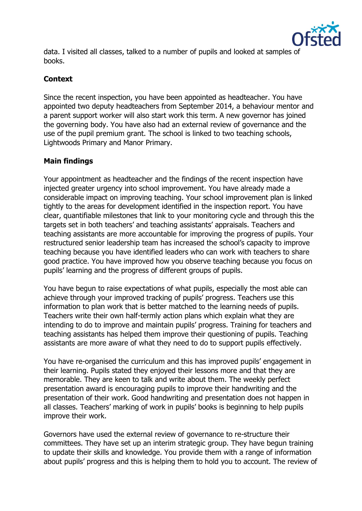

data. I visited all classes, talked to a number of pupils and looked at samples of books.

# **Context**

Since the recent inspection, you have been appointed as headteacher. You have appointed two deputy headteachers from September 2014, a behaviour mentor and a parent support worker will also start work this term. A new governor has joined the governing body. You have also had an external review of governance and the use of the pupil premium grant. The school is linked to two teaching schools, Lightwoods Primary and Manor Primary.

## **Main findings**

Your appointment as headteacher and the findings of the recent inspection have injected greater urgency into school improvement. You have already made a considerable impact on improving teaching. Your school improvement plan is linked tightly to the areas for development identified in the inspection report. You have clear, quantifiable milestones that link to your monitoring cycle and through this the targets set in both teachers' and teaching assistants' appraisals. Teachers and teaching assistants are more accountable for improving the progress of pupils. Your restructured senior leadership team has increased the school's capacity to improve teaching because you have identified leaders who can work with teachers to share good practice. You have improved how you observe teaching because you focus on pupils' learning and the progress of different groups of pupils.

You have begun to raise expectations of what pupils, especially the most able can achieve through your improved tracking of pupils' progress. Teachers use this information to plan work that is better matched to the learning needs of pupils. Teachers write their own half-termly action plans which explain what they are intending to do to improve and maintain pupils' progress. Training for teachers and teaching assistants has helped them improve their questioning of pupils. Teaching assistants are more aware of what they need to do to support pupils effectively.

You have re-organised the curriculum and this has improved pupils' engagement in their learning. Pupils stated they enjoyed their lessons more and that they are memorable. They are keen to talk and write about them. The weekly perfect presentation award is encouraging pupils to improve their handwriting and the presentation of their work. Good handwriting and presentation does not happen in all classes. Teachers' marking of work in pupils' books is beginning to help pupils improve their work.

Governors have used the external review of governance to re-structure their committees. They have set up an interim strategic group. They have begun training to update their skills and knowledge. You provide them with a range of information about pupils' progress and this is helping them to hold you to account. The review of